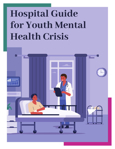# **Hospital Guide for Youth Mental Health Crisis**

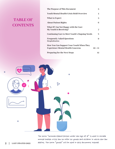### **TABLE OF CONTENTS**

| The Purpose of This Document                                          | 3              |
|-----------------------------------------------------------------------|----------------|
| <b>Youth Mental Health Crisis Hold Overview</b>                       | 4              |
| <b>What to Expect</b>                                                 | $\overline{5}$ |
| <b>About Patient Rights</b>                                           | 6              |
| What If I Am Not Happy with the Care<br><b>My Youth Is Receiving?</b> | 7              |
| <b>Continuing Care to Meet Youth's Ongoing Needs</b>                  | 8              |
| <b>Frequently Asked Questions</b><br>Hospitalization                  | 9              |
| How You Can Support Your Youth When They                              |                |
| <b>Experience Mental Health Concerns</b>                              | $10 + 11$      |
| <b>Preparing for the Next Steps</b>                                   | 12             |



The term "unemancipated person under the age of 18" is used in Nevada mental health crisis law to refer to youth and children in which the law 2 | LAST UPDATED 2022 applies. The term "youth" will be used in this document instead.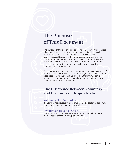# **The Purpose of This Document**

The purpose of this document is to provide information for families whose youth are experiencing mental health crisis that may lead to temporary hospitalization. A mental health crisis hold is a legal process in Nevada law that allows certain professionals to protect a youth experiencing a mental health crisis so they don't hurt themselves or others. The purpose of the hold is to provide emergency care, which may include evaluation, observation, transportation, and treatment.

This document includes education, resources, and an explanation of mental health crisis holds (also known as legal holds). This document does not promote the use of holds, rather, this information is intended to empower parents to make informed decisions about their youth's mental health needs.

### **The Difference Between Voluntary and Involuntary Hospitalization**

### **Voluntary Hospitalization:**

If a youth is hospitalized voluntarily, parents or legal guardians may request discharge against medical advice.

### **Involuntary Hospitalization:**

Under involuntary hospitalization a youth may be held under a mental health crisis hold for up to 72 hours.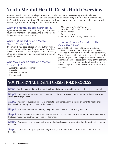# **Youth Mental Health Crisis Hold Overview**

A mental health crisis hold is a legal process in Nevada Law that allows certain professionals, law enforcement, or healthcare professionals to protect a youth experiencing a mental health crisis so they don't hurt themselves or others. The purpose of the hold is to provide emergency care, which may include evaluation, observation, transportation, and treatment.

### **What Is a Mental Health Crisis Hold?**

A youth mental health crisis hold may be placed on a youth with mental health needs, who is considered a danger to themselves or others.

### **Where Is One Taken on a Mental Health Crisis Hold?**

If your youth has been placed on a hold, they will be taken to a medical hospital for evaluation. Based on the evaluation by a healthcare professional, they may either be released to you or transported to a mental health hospital.

### **Who May Place a Youth on a Mental Crisis Hold?**

- Authorized Law Enforcement
- Physician
- Physician Assistant
- **Psychologist**
- Marriage and Family Therapist
- Certified Professional Counselor
- Social Worker
- Registered Nurse
- Advanced Practice Registered Nurse

### **How Long Does a Mental Health Crisis Hold Last?**

A mental health crisis hold typically lasts for 72 hours. However, the 72-hour period may be extended if a petition is filed with the district court. The petition must include a statement signed by the parent or guardian of the youth that the parent or guardian does not object to the filing of the petition. Parents can choose to extend their youth's mental health hospital stay in if necessary without a court process.

### **YOUTH MENTAL HEALTH CRISIS HOLD PROCESS**

**Step 1:** Youth is assessed to be in mental health crisis including possible suicide, serious illness, or death.

**Step 2:** Prior to placing a mental health crisis hold on the youth, a person must attempt to obtain the consent of the parent or guardian.

**Step 3:** If parent or guardian consent is unable to be obtained, youth is placed on a mental health crisis hold, which can last up to 72 hours for their safety.

**Step 4:** Hospital must attempt to notify the parent within 8 hours of receiving the youth.

**Step 5:** Youth receives an examination from a medical professional to ensure there is no medical condition that requires immediate treatment (medical clearance).

**Step 6:** Youth receives an evaluation from a medical professional to determine that the youth is in a mental health crisis.

**Step 7:** At anytime during this process the youth may be accepted and transported to a mental health hospital.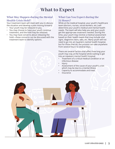# **What to Expect**

### **What May Happen during the Mental Health Crisis Hold?**

Your treatment team will meet with you to discuss the situation and develop a plan moving forward:

- Your youth may be released to you.
- You may choose to have your youth continue treatment, and the hold may be released.
- You may have concerns about releasing the hold—these concerns can be discussed with the treatment team to identify options.

### **What Can You Expect during the**

### **72 Hours?**

While at the medical hospital, your youth's healthcare team (doctors, nurses, social workers, etc.) will determine your youth's medical and mental health needs. The team will also help you and your youth get the appropriate treatment needed. During this time, your youth may receive a medical assessment based on their health needs that may include vital signs, diagnostic tests, labs, etc. Many youth will not need to go into an inpatient mental health hospital, but for those that do, the process can take anywhere from several hours to several days.

There are several factors that affect how long your youth may stay at the hospital while waiting to get into an inpatient mental health hospital:

- Treatment of a critical medical condition or an infectious disease
- **Injury**
- Assessment of the cause of your youth's crisis which may be due to a mental illness
- Capacity to accommodate and treat
- Insurance

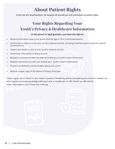# **About Patient Rights**

*In the case of a hospitalization, the hospital will provide you with information on patient rights.* 

### **Your Rights Regarding Your Youth's Privacy & Healthcare Information**

### **As the parent or legal guardian, you have the right to:**

- Receive information about your youth until the age of 18 or until emancipation
- Control who is able to access your youth's medical records, including treatment plans except for special circumstances.
- Inspect and obtain a copy of your youth's medical records
- Amend the information in those records
- Request a summary of who has been provided your youth's health information
- Request restrictions on who can receive your youth's health information
- Request confidential communication about your youth
- Receive a paper copy of the Notice of Privacy Practices

These rights can be found in the Health Insurance Portability and Accountability act found in federal law here: https://www.hhs.gov/hipaa/index.html and in Nevada law in NRS 433.456 to NRS 433.536. More information can be found at nvbh.org.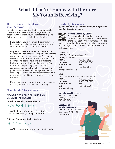# **What If I'm Not Happy with the Care My Youth Is Receiving?**

### **Have a Concern about Your**

### **Youth's Care?**

Hospitals strive to provide the best care possible, however there may be times when you are not satisfied with the care your youth is receiving. The following actions can help in these situations:

- If you believe you or your youth's rights have not been observed, discuss your concern with any staff member in person and/or in writing.
- Request to speak to a patient advocate at the hospital, who can help you navigate the hospital's complaint and grievance process. This person serves as an advocate for those admitted to the hospital. The patient advocate is available to both you and your family, assisting in clarifying information, supporting your rights and connecting people to the right resources. The patient advocate can help with grievances and also can pass along compliments regarding your rights and the quality of care and service at the hospital.
- If you have a concern about your rights, you may discuss your concerns with your attorney.

### **Complaints & Grievances**

### **NEVADA DIVISION OF PUBLIC AND BEHAVIORAL HEALTH**

**Healthcare Quality & Compliance**

775-684-1030

https://dpbh.nv.gov/Reg/HealthFacilities/ dta/Complaints/HCQC-Complaint-Form/

### **Office of Consumer Health Assistance**

702-486-3587

https://dhhs.nv.gov/programs/cha/contact\_govcha/

### **Disability Resources**

*If you need more information about your rights and how to advocate for them.*



### **Nevada Disability Center**

The Nevada Disability Advocacy & Law Center (NDALC) is a private, statewide nonprofit organization that serves as Nevada's

federally-mandated protection and advocacy system for human, legal, and service rights for individuals with disabilities.

### **LAS VEGAS**

| 2820 West Charleston Blvd., #11 |                |
|---------------------------------|----------------|
| Las Vegas, NV 89102             |                |
| <b>PHONE:</b>                   | 702-257-8150   |
| <b>TOLL-FREE:</b>               | 1-888-349-3843 |
| <b>NEVADA RELAY:</b>            | 711            |
| <b>FAX:</b>                     | 702-257-8170   |
| lasvegas@ndalc.org              |                |

### **RENO**

1875 Plumas Street, #1, Reno, NV 89509 **PHONE:** 775-333-7878 **TOLL-FREE:** 1-800-992-5715 **NEVADA RELAY:** 711 **FAX:** 775-786-2520

reno@ndalc.org

### **Nevada Legal Services**

530 South 6th Street Las Vegas, NV 89101 702-386-0404

**Legal Aid of Southern Nevada**

725 East Charleston Blvd. Las Vegas, NV 89104 702-386-1070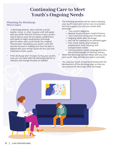# **Continuing Care to Meet Youth's Ongoing Needs**

### **Planning for Discharge**

What to expect:

- A discharge planner, who could be a social worker, nurse, or other hospital staff, will speak with you within the first 24 hours of your youth's stay to discuss your family's goals, preferences, and needs to begin developing a discharge plan for when your youth leaves the hospital. The provider overseeing your youth's care will also be involved in making sure that this plan is aligned with your family's goals for the care and treatment of your youth.
- If the discharge plan changes during your youth's stay, you can meet with the discharge planner to reassess and change the plan as needed.
- The following elements will be used to develop your youth's plan and connect you to providers who can support you and your youth after discharge:
	- Your youth's diagnosis
	- Medical issues and past medical history
	- Your Insurance Companies Provider List
	- Ongoing needs after discharge
	- Any risk for needing to be admitted again
	- Your social, family, psychological, employment, food, housing, and transportation needs
	- Communication needs, language barriers, diminished eyesight or hearing, literacy.
- When the discharge planner meets with you and your youth, they will help you select a provider.
- You and your youth should be involved with the development of the discharge plan so that you can prepare for next steps after discharge.

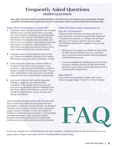### **Frequently Asked Questions HOSPITALIZATION**

*Every eff ort should be made to provide treatment in the least restrictive setting in your community, however psychiatric hospitalization may be necessary in circumstances where a youth cannot keep themselves safe.*

### **What Does Treatment Consist Of?**

- **1.** Treatment starts with an evaluation that includes talking to you and your youth about why they are in the hospital, reviewing any mental health symptoms that they have had before, getting information from people who know them and any records from doctors and hospitals that they have been to in the past. Gathering all of this information will help your doctors have a more clear understanding of your youth's needs.
- **2.** A physical exam and possible lab work to find out if there are medical conditions that may be affecting the way your youth is feeling or acting.
- **3.** If the evaluation shows that mental health is involved in the crisis, and your youth's crisis continues, they may be transferred to a mental health hospital for continuing treatment. Please note: Stabilization in the community should be explored prior to a mental health hospital stay.
- **4.** Your youth's doctors will use the evaluation findings to diagnose any mental health conditions. They will get input from you and your youth to develop a plan for treatment and discharge. While at the hospital, activities may include individual and/or group therapy and taking medications.

### **Are Families Expected to Be Involved?**

Yes! It is extremely important that family members participate in treatment. Family members are essential members of each youth's treatment team and family support assists in healing. It is also very helpful for families to understand and participate in the discharge and aftercare plans in order to have a smooth transition back home and to the community with continued practice of the skills the youth has learned.

### **What If I Don't Have Insurance to Pay for Treatment?**

There are several options for those who do not have insurance, but need mental health treatment. A hospital social worker or staff person will work with you to ensure you get the care you need. The following options are available so you can get treatment:

- Many youth are eligible for Medicaid, which after an often quick enrollment process, will allow you to access private hospitals offering inpatient mental health services.
- If you are ineligible for Medicaid and do not have insurance, Nevada Division of Child and Family Services may be able to assist with payment for a mental health hospital stay.

### **Questions?**

If you have more questions, please refer to the resources page (Pages 10 and 11 in this brochure).



If you are ineligible for Medicaid and do not have insurance, Nevada Division of Child and Family Services may be able to assist with payment for a mental health hospital stay.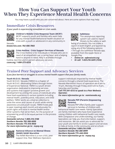## **How You Can Support Your Youth When They Experience Mental Health Concerns**

You may have a youth who you are concerned about. Here are some options that may help:

### **Immediate Crisis Resources**

*If your youth is experiencing immediate or crisis needs.*



### **Children's Mobile Crisis Response Team (MCRT)**

MCRT supports youth and families who want help for any mental health/behavioral health situation or crisis with a youth or adolescent in any community in

Nevada. *knowcrisis.com; 702-486-7865*



### **Crisis Hotline: Crisis Support Services of Nevada**

The Crisis Hotline is for individuals in Nevada who are in need of an empathetic ear, a caring heart and a helping hand to anyone in need. Help is available through

hotline, text line and in-person advocacy services. *cssnv.org; 1-800-273-8255*



### **SafeVoice**

This anonymous reporting system can used to report threats to the safety or well-

being of students. You can make a report in both English and Spanish by using any of the following options:

• Through the SafeVoice Nevada app, available from the Apple Store or Google Play

- *Online at: safevoicenv.org*
- *Or call: 1-833-216-SAFE (7233)*

### **Trained Peer Support and Advocacy Services**

*If you face barriers or struggles to access mental health support that your family needs.*

### **Youth M.O.V.E. Nevada**

Youth M.O.V.E. Nevada (YMNV) is a chapter of Youth M.O.V.E. (Motivating Others through Voices of Experience) National. YMNV is a youth driven organization dedicated to improving services and systems that support positive growth and development by uniting the voices of individuals who have lived experience in various systems including mental health, juvenile justice, education, and child welfare. YMNV works as a diverse collective to unite the voices and causes of youth while raising awareness around youth issues. YMNV holds peer to peer meetings each month and advocates for youth rights and voice in mental health and/or other systems that serve them, for the purpose of empowering youth to be equal partner in the process of change.

*Statewide toll-free 1-800-216-5188 Southern Nevada 702-388-8899 Northern Nevada 775-418-9950 For more information go to: nvpep.org*



#### **National Alliance on Mental Illness (NAMI) NAMI Warmline**

The NAMI Warmline is a non-crisis, peer support line. Peer Wellness Operators

support individuals impacted by mental health concerns through a shared lived experience. The Nevada Warmline's hours of operation are 8 am to 10 pm, Monday through Friday and 8 am to 9 pm, Saturday and Sunday.

#### *Call 775-241-4212 to speak to a Peer Wellness Operator.*

*For more information go to: naminevada.org*



#### **Nevada PEP (Parents Empowering Parents)**

Nevada PEP offers family peer support services to families of children with

behavioral health care needs. Family Specialists are family members who have lived experience raising children with behavioral health care needs. With compassion and understanding, our Family Specialists can help you find information, support, and resources. We can assist you to advocate for your youth and family to access support and services to help at home, in the community and at school.

*Statewide toll-free 1-800-216-5188 Southern Nevada 702-388-8899 Northern Nevada 775-448-9950 For more information go to: nvpep.org*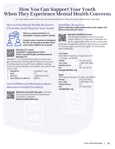# **How You Can Support Your Youth When They Experience Mental Health Concerns**

You may have a youth who you are concerned about. Here are some options that may help:

### **How to Find Mental Health Resources if You May Need Them for Your Youth:**



**Talk to a social worker or a counselor at your youth's school.**

**Contact your insurance company for list of covered providers who work with children and youth.**



#### **Nevada 211 Youth** *nevada211.org/youth-services/*  **Find a mental health professional at Nevada 211.**

Nevada 211 is a free and easy way to locate and get connected to thousands of resources near you, including assistance with food, utilities, housing, mental health providers, and health care, plus much, much more.

**ONLINE AT: hevada211.org • DIAL:** 211

 **• OR CALL:** 1-866-535-5654

 **• TEXT YOUR ZIP CODE TO:** 898211

### **Need Additional Information about Behavioral Health Providers?**



**Behavioral Health Nevada:** Find and access quality behavioral healthcare providers in Nevada. *behavioralhealthnv.org*

### **Disability Resources**

*If you need more information about your rights and how to advocate for them.*



### **Nevada Disability Center**

The Nevada Disability Advocacy & Law Center (NDALC) is a private, statewide nonprofit organization that serves as Nevada's

federally-mandated protection and advocacy system for human, legal, and service rights for individuals with disabilities.

#### **LAS VEGAS**

2820 West Charleston Boulevard, #11 Las Vegas, NV 89102 **PHONE:** 702-257-8150 **TOLL-FREE:** 1-888-349-3843 NEVADA RELAY: 711 **FAX:** 702-257-8170 *lasvegas@ndalc.org*

### **RENO**

1875 Plumas Street, #1, Reno, NV 89509 **PHONE:** 775-333-7878 **TOLL-FREE:** 1-800-992-5715 NEVADA RELAY: 711 **FAX:** 775-786-2520 *reno@ndalc.org*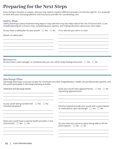# **Preparing for the Next Steps**

Every family's situation is unique, and you may need to explore different providers to find the right fit. It is essential to work with your discharge planner and insurance provider for coordinating care.

### **Safety Plan:**

Safety planning is about brainstorming ways to stay safe that may also help reduce the risk of future harm. It can include planning for a future crisis, considering your options, and making decisions about your next steps.

Do you have a safety plan for your youth?  $\Box$  Yes  $\Box$  No Details of safety plan: \_\_\_\_\_\_\_\_\_\_\_\_\_\_\_\_\_\_\_\_\_\_\_\_\_\_\_\_\_\_\_\_\_\_\_\_\_\_\_\_\_\_\_\_\_\_\_\_\_\_\_\_\_ \_\_\_\_\_\_\_\_\_\_\_\_\_\_\_\_\_\_\_\_\_\_\_\_\_\_\_\_\_\_\_\_\_\_\_\_\_\_\_\_\_\_\_\_\_\_\_\_\_\_\_\_\_ \_\_\_\_\_\_\_\_\_\_\_\_\_\_\_\_\_\_\_\_\_\_\_\_\_\_\_\_\_\_\_\_\_\_\_\_\_\_\_\_\_\_\_\_\_\_\_\_\_\_\_\_\_ \_\_\_\_\_\_\_\_\_\_\_\_\_\_\_\_\_\_\_\_\_\_\_\_\_\_\_\_\_\_\_\_\_\_\_\_\_\_\_\_\_\_\_\_\_\_\_\_\_\_\_\_\_ If no, who do you call in a crisis? \_\_\_\_\_\_\_\_\_\_\_\_\_\_\_\_\_\_\_\_\_\_\_\_\_\_\_\_\_\_\_\_\_\_\_\_\_\_\_\_\_\_\_\_\_\_\_\_\_\_\_\_\_ \_\_\_\_\_\_\_\_\_\_\_\_\_\_\_\_\_\_\_\_\_\_\_\_\_\_\_\_\_\_\_\_\_\_\_\_\_\_\_\_\_\_\_\_\_\_\_\_\_\_\_\_\_ \_\_\_\_\_\_\_\_\_\_\_\_\_\_\_\_\_\_\_\_\_\_\_\_\_\_\_\_\_\_\_\_\_\_\_\_\_\_\_\_\_\_\_\_\_\_\_\_\_\_\_\_\_ \_\_\_\_\_\_\_\_\_\_\_\_\_\_\_\_\_\_\_\_\_\_\_\_\_\_\_\_\_\_\_\_\_\_\_\_\_\_\_\_\_\_\_\_\_\_\_\_\_\_\_\_\_ \_\_\_\_\_\_\_\_\_\_\_\_\_\_\_\_\_\_\_\_\_\_\_\_\_\_\_\_\_\_\_\_\_\_\_\_\_\_\_\_\_\_\_\_\_\_\_\_\_\_\_\_\_ \_\_\_\_\_\_\_\_\_\_\_\_\_\_\_\_\_\_\_\_\_\_\_\_\_\_\_\_\_\_\_\_\_\_\_\_\_\_\_\_\_\_\_\_\_\_\_\_\_\_\_\_\_

### **Resources:**

Do you have a case manager, or someone else you can call for help finding resources?  $\Box$  Yes  $\Box$  No

### **Discharge Plan:**

Discharge planning is a process to plan for continued care after hospitalization. Health care professionals, parents, and the youth participate in discharge planning activities.

\_\_\_\_\_\_\_\_\_\_\_\_\_\_\_\_\_\_\_\_\_\_\_\_\_\_\_\_\_\_\_\_\_\_\_\_\_\_\_\_\_\_\_\_\_\_\_\_\_\_\_\_\_\_\_\_\_\_\_\_\_\_\_\_\_\_\_\_\_\_\_\_\_\_\_\_\_\_\_\_\_\_\_\_\_\_\_\_\_\_\_\_\_\_\_\_\_\_\_\_\_\_\_\_\_\_\_\_\_\_\_ \_\_\_\_\_\_\_\_\_\_\_\_\_\_\_\_\_\_\_\_\_\_\_\_\_\_\_\_\_\_\_\_\_\_\_\_\_\_\_\_\_\_\_\_\_\_\_\_\_\_\_\_\_\_\_\_\_\_\_\_\_\_\_\_\_\_\_\_\_\_\_\_\_\_\_\_\_\_\_\_\_\_\_\_\_\_\_\_\_\_\_\_\_\_\_\_\_\_\_\_\_\_\_\_\_\_\_\_\_\_\_

| Treatment and discharge details:                      | Does your youth have appointments? $\Box$ Yes $\Box$ No<br>Upcoming appointments: |
|-------------------------------------------------------|-----------------------------------------------------------------------------------|
| Is your youth being transferred? $\Box$ Yes $\Box$ No | Did the hospital provide your youth with a prescription                           |
| Transferred where?                                    | or medications upon discharge? $\Box$ Yes $\Box$ No                               |
| Does your youth have a mental health provider in the  | Do you have any concerns about being able to fill the                             |
| community? □ Yes □ No                                 | prescription? $\Box$ Yes $\Box$ No                                                |
|                                                       |                                                                                   |